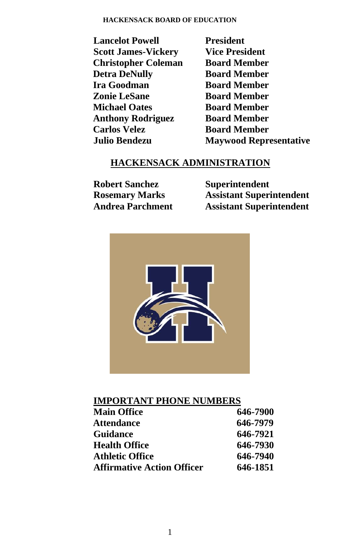#### **HACKENSACK BOARD OF EDUCATION**

 **Lancelot Powell President Scott James-Vickery Vice President Christopher Coleman Board Member Detra DeNully Board Member Ira Goodman Board Member Zonie LeSane Board Member Michael Oates Board Member Anthony Rodriguez Board Member Carlos Velez Board Member**

 **Julio Bendezu Maywood Representative**

# **HACKENSACK ADMINISTRATION**

 **Robert Sanchez Superintendent** 

 **Rosemary Marks Assistant Superintendent Andrea Parchment Assistant Superintendent**



# **IMPORTANT PHONE NUMBERS**

| <b>Main Office</b>                | 646-7900 |
|-----------------------------------|----------|
| <b>Attendance</b>                 | 646-7979 |
| <b>Guidance</b>                   | 646-7921 |
| <b>Health Office</b>              | 646-7930 |
| <b>Athletic Office</b>            | 646-7940 |
| <b>Affirmative Action Officer</b> | 646-1851 |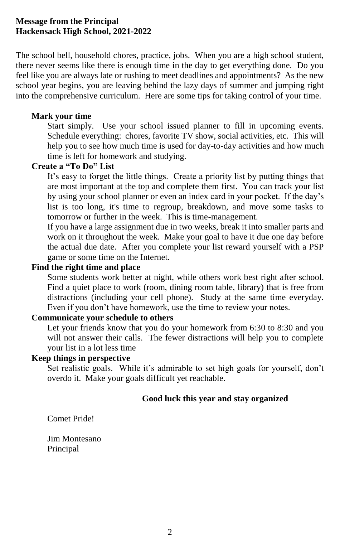## **Message from the Principal Hackensack High School, 2021-2022**

The school bell, household chores, practice, jobs. When you are a high school student, there never seems like there is enough time in the day to get everything done. Do you feel like you are always late or rushing to meet deadlines and appointments? As the new school year begins, you are leaving behind the lazy days of summer and jumping right into the comprehensive curriculum. Here are some tips for taking control of your time.

### **Mark your time**

Start simply. Use your school issued planner to fill in upcoming events. Schedule everything: chores, favorite TV show, social activities, etc. This will help you to see how much time is used for day-to-day activities and how much time is left for homework and studying.

### **Create a "To Do" List**

It's easy to forget the little things. Create a priority list by putting things that are most important at the top and complete them first. You can track your list by using your school planner or even an index card in your pocket. If the day's list is too long, it's time to regroup, breakdown, and move some tasks to tomorrow or further in the week. This is time-management.

If you have a large assignment due in two weeks, break it into smaller parts and work on it throughout the week. Make your goal to have it due one day before the actual due date. After you complete your list reward yourself with a PSP game or some time on the Internet.

## **Find the right time and place**

Some students work better at night, while others work best right after school. Find a quiet place to work (room, dining room table, library) that is free from distractions (including your cell phone). Study at the same time everyday. Even if you don't have homework, use the time to review your notes.

### **Communicate your schedule to others**

Let your friends know that you do your homework from 6:30 to 8:30 and you will not answer their calls. The fewer distractions will help you to complete your list in a lot less time

### **Keep things in perspective**

Set realistic goals. While it's admirable to set high goals for yourself, don't overdo it. Make your goals difficult yet reachable.

### **Good luck this year and stay organized**

Comet Pride!

Jim Montesano Principal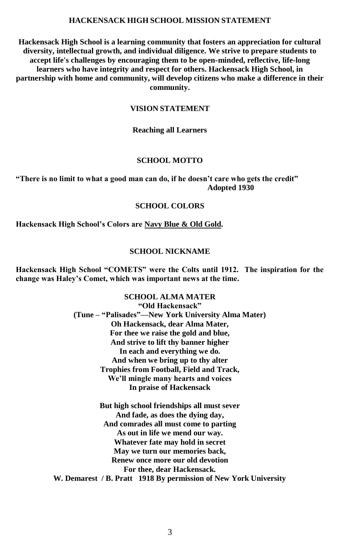#### **HACKENSACK HIGH SCHOOL MISSION STATEMENT**

**Hackensack High School is a learning community that fosters an appreciation for cultural diversity, intellectual growth, and individual diligence. We strive to prepare students to accept life's challenges by encouraging them to be open-minded, reflective, life-long learners who have integrity and respect for others. Hackensack High School, in partnership with home and community, will develop citizens who make a difference in their community.** 

#### **VISION STATEMENT**

#### **Reaching all Learners**

### **SCHOOL MOTTO**

#### **"There is no limit to what a good man can do, if he doesn't care who gets the credit" Adopted 1930**

#### **SCHOOL COLORS**

**Hackensack High School's Colors are Navy Blue & Old Gold.**

#### **SCHOOL NICKNAME**

**Hackensack High School "COMETS" were the Colts until 1912. The inspiration for the change was Haley's Comet, which was important news at the time.**

#### **SCHOOL ALMA MATER "Old Hackensack"**

**(Tune – "Palisades"—New York University Alma Mater) Oh Hackensack, dear Alma Mater, For thee we raise the gold and blue, And strive to lift thy banner higher In each and everything we do. And when we bring up to thy alter Trophies from Football, Field and Track, We'll mingle many hearts and voices In praise of Hackensack**

**But high school friendships all must sever And fade, as does the dying day, And comrades all must come to parting As out in life we mend our way. Whatever fate may hold in secret May we turn our memories back, Renew once more our old devotion For thee, dear Hackensack. W. Demarest / B. Pratt 1918 By permission of New York University**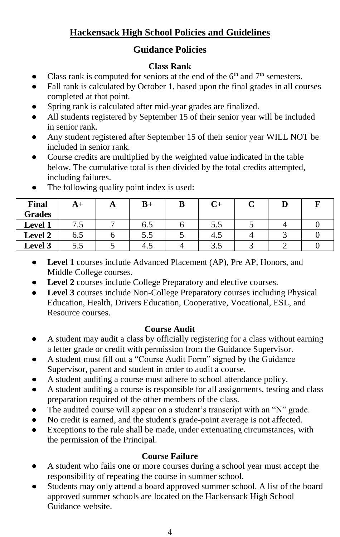# **Hackensack High School Policies and Guidelines**

# **Guidance Policies**

# **Class Rank**

- Class rank is computed for seniors at the end of the  $6<sup>th</sup>$  and  $7<sup>th</sup>$  semesters.
- Fall rank is calculated by October 1, based upon the final grades in all courses completed at that point.
- Spring rank is calculated after mid-year grades are finalized.
- All students registered by September 15 of their senior year will be included in senior rank.
- Any student registered after September 15 of their senior year WILL NOT be included in senior rank.
- Course credits are multiplied by the weighted value indicated in the table below. The cumulative total is then divided by the total credits attempted, including failures.

| <b>Final</b>   | A+  | A | $B+$ | в | U+  | ັ |  |
|----------------|-----|---|------|---|-----|---|--|
| <b>Grades</b>  |     |   |      |   |     |   |  |
| <b>Level 1</b> | ر., |   | 6.5  |   | 5.5 |   |  |
| Level 2        | 6.5 |   | 5.5  |   | 4.5 |   |  |
| Level 3        | 5.5 |   | 4.5  |   | 3.5 |   |  |

The following quality point index is used:

- **Level 1** courses include Advanced Placement (AP), Pre AP, Honors, and Middle College courses.
- Level 2 courses include College Preparatory and elective courses.
- **Level 3** courses include Non-College Preparatory courses including Physical Education, Health, Drivers Education, Cooperative, Vocational, ESL, and Resource courses.

# **Course Audit**

- A student may audit a class by officially registering for a class without earning a letter grade or credit with permission from the Guidance Supervisor.
- A student must fill out a "Course Audit Form" signed by the Guidance Supervisor, parent and student in order to audit a course.
- A student auditing a course must adhere to school attendance policy.
- A student auditing a course is responsible for all assignments, testing and class preparation required of the other members of the class.
- The audited course will appear on a student's transcript with an "N" grade.
- No credit is earned, and the student's grade-point average is not affected.
- Exceptions to the rule shall be made, under extenuating circumstances, with the permission of the Principal.

# **Course Failure**

- A student who fails one or more courses during a school year must accept the responsibility of repeating the course in summer school.
- Students may only attend a board approved summer school. A list of the board approved summer schools are located on the Hackensack High School Guidance website.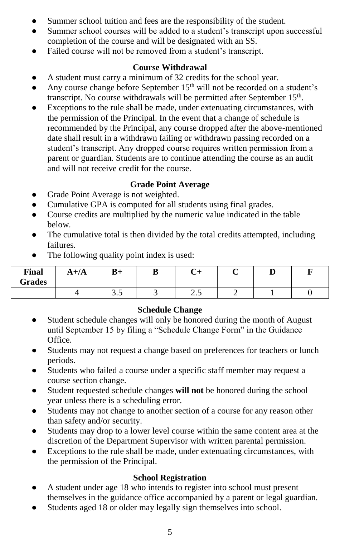- Summer school tuition and fees are the responsibility of the student.
- Summer school courses will be added to a student's transcript upon successful completion of the course and will be designated with an SS.
- Failed course will not be removed from a student's transcript.

## **Course Withdrawal**

- A student must carry a minimum of 32 credits for the school year.
- Any course change before September  $15<sup>th</sup>$  will not be recorded on a student's transcript. No course withdrawals will be permitted after September 15<sup>th</sup>.
- Exceptions to the rule shall be made, under extenuating circumstances, with the permission of the Principal. In the event that a change of schedule is recommended by the Principal, any course dropped after the above-mentioned date shall result in a withdrawn failing or withdrawn passing recorded on a student's transcript. Any dropped course requires written permission from a parent or guardian. Students are to continue attending the course as an audit and will not receive credit for the course.

## **Grade Point Average**

- Grade Point Average is not weighted.
- Cumulative GPA is computed for all students using final grades.
- Course credits are multiplied by the numeric value indicated in the table below.
- The cumulative total is then divided by the total credits attempted, including failures.
- The following quality point index is used:

| <b>Final</b><br>Grades | $A + /A$ | $B+$ | D<br>D | ∼<br>∪+  | ≖ |  |
|------------------------|----------|------|--------|----------|---|--|
|                        |          | ن.ر  | ັ      | -<br>ر ب |   |  |

## **Schedule Change**

- Student schedule changes will only be honored during the month of August until September 15 by filing a "Schedule Change Form" in the Guidance Office.
- Students may not request a change based on preferences for teachers or lunch periods.
- Students who failed a course under a specific staff member may request a course section change.
- Student requested schedule changes **will not** be honored during the school year unless there is a scheduling error.
- Students may not change to another section of a course for any reason other than safety and/or security.
- Students may drop to a lower level course within the same content area at the discretion of the Department Supervisor with written parental permission.
- Exceptions to the rule shall be made, under extenuating circumstances, with the permission of the Principal.

## **School Registration**

- A student under age 18 who intends to register into school must present themselves in the guidance office accompanied by a parent or legal guardian.
- Students aged 18 or older may legally sign themselves into school.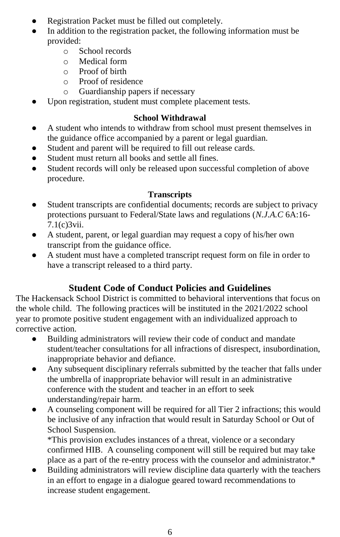- Registration Packet must be filled out completely.
- In addition to the registration packet, the following information must be provided:
	- o School records
	- o Medical form
	- o Proof of birth
	- o Proof of residence
	- o Guardianship papers if necessary
- Upon registration, student must complete placement tests.

# **School Withdrawal**

- A student who intends to withdraw from school must present themselves in the guidance office accompanied by a parent or legal guardian.
- Student and parent will be required to fill out release cards.
- Student must return all books and settle all fines.
- Student records will only be released upon successful completion of above procedure.

# **Transcripts**

- Student transcripts are confidential documents; records are subject to privacy protections pursuant to Federal/State laws and regulations (*N.J.A.C* 6A:16- 7.1(c)3vii.
- A student, parent, or legal guardian may request a copy of his/her own transcript from the guidance office.
- A student must have a completed transcript request form on file in order to have a transcript released to a third party.

# **Student Code of Conduct Policies and Guidelines**

The Hackensack School District is committed to behavioral interventions that focus on the whole child. The following practices will be instituted in the 2021/2022 school year to promote positive student engagement with an individualized approach to corrective action.

- Building administrators will review their code of conduct and mandate student/teacher consultations for all infractions of disrespect, insubordination, inappropriate behavior and defiance.
- Any subsequent disciplinary referrals submitted by the teacher that falls under the umbrella of inappropriate behavior will result in an administrative conference with the student and teacher in an effort to seek understanding/repair harm.
- A counseling component will be required for all Tier 2 infractions; this would be inclusive of any infraction that would result in Saturday School or Out of School Suspension.

\*This provision excludes instances of a threat, violence or a secondary confirmed HIB. A counseling component will still be required but may take place as a part of the re-entry process with the counselor and administrator.\*

Building administrators will review discipline data quarterly with the teachers in an effort to engage in a dialogue geared toward recommendations to increase student engagement.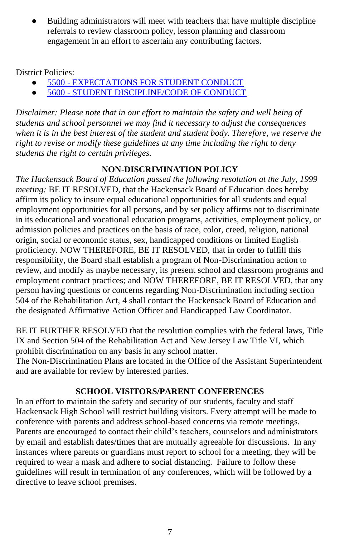Building administrators will meet with teachers that have multiple discipline referrals to review classroom policy, lesson planning and classroom engagement in an effort to ascertain any contributing factors.

District Policies:

- 5500 [EXPECTATIONS FOR STUDENT CONDUCT](https://www.straussesmay.com/seportal/Public/DistrictPolicy.aspx?policyid=5500&id=ea07fff11e43450fa62a93d74e9e231f)
- 5600 [STUDENT DISCIPLINE/CODE OF CONDUCT](https://www.straussesmay.com/seportal/Public/DistrictPolicy.aspx?policyid=5600&id=ea07fff11e43450fa62a93d74e9e231f)

*Disclaimer: Please note that in our effort to maintain the safety and well being of students and school personnel we may find it necessary to adjust the consequences when it is in the best interest of the student and student body. Therefore, we reserve the right to revise or modify these guidelines at any time including the right to deny students the right to certain privileges.*

# **NON-DISCRIMINATION POLICY**

*The Hackensack Board of Education passed the following resolution at the July, 1999 meeting:* BE IT RESOLVED, that the Hackensack Board of Education does hereby affirm its policy to insure equal educational opportunities for all students and equal employment opportunities for all persons, and by set policy affirms not to discriminate in its educational and vocational education programs, activities, employment policy, or admission policies and practices on the basis of race, color, creed, religion, national origin, social or economic status, sex, handicapped conditions or limited English proficiency. NOW THEREFORE, BE IT RESOLVED, that in order to fulfill this responsibility, the Board shall establish a program of Non-Discrimination action to review, and modify as maybe necessary, its present school and classroom programs and employment contract practices; and NOW THEREFORE, BE IT RESOLVED, that any person having questions or concerns regarding Non-Discrimination including section 504 of the Rehabilitation Act, 4 shall contact the Hackensack Board of Education and the designated Affirmative Action Officer and Handicapped Law Coordinator.

BE IT FURTHER RESOLVED that the resolution complies with the federal laws, Title IX and Section 504 of the Rehabilitation Act and New Jersey Law Title VI, which prohibit discrimination on any basis in any school matter.

The Non-Discrimination Plans are located in the Office of the Assistant Superintendent and are available for review by interested parties.

# **SCHOOL VISITORS/PARENT CONFERENCES**

In an effort to maintain the safety and security of our students, faculty and staff Hackensack High School will restrict building visitors. Every attempt will be made to conference with parents and address school-based concerns via remote meetings. Parents are encouraged to contact their child's teachers, counselors and administrators by email and establish dates/times that are mutually agreeable for discussions. In any instances where parents or guardians must report to school for a meeting, they will be required to wear a mask and adhere to social distancing. Failure to follow these guidelines will result in termination of any conferences, which will be followed by a directive to leave school premises.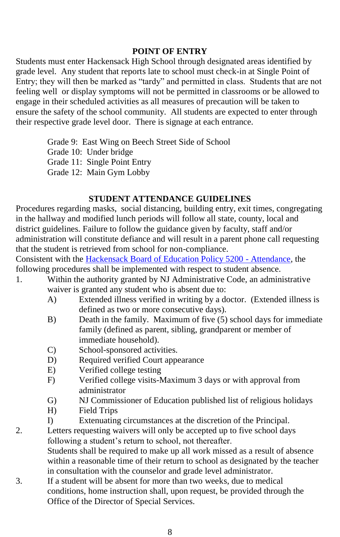### **POINT OF ENTRY**

Students must enter Hackensack High School through designated areas identified by grade level. Any student that reports late to school must check-in at Single Point of Entry; they will then be marked as "tardy" and permitted in class. Students that are not feeling well or display symptoms will not be permitted in classrooms or be allowed to engage in their scheduled activities as all measures of precaution will be taken to ensure the safety of the school community. All students are expected to enter through their respective grade level door. There is signage at each entrance.

Grade 9: East Wing on Beech Street Side of School

Grade 10: Under bridge

Grade 11: Single Point Entry

Grade 12: Main Gym Lobby

### **STUDENT ATTENDANCE GUIDELINES**

Procedures regarding masks, social distancing, building entry, exit times, congregating in the hallway and modified lunch periods will follow all state, county, local and district guidelines. Failure to follow the guidance given by faculty, staff and/or administration will constitute defiance and will result in a parent phone call requesting that the student is retrieved from school for non-compliance.

Consistent with th[e Hackensack Board of Education Policy 5200 -](https://www.straussesmay.com/seportal/Public/DistrictPolicy.aspx?policyid=5200&id=ea07fff11e43450fa62a93d74e9e231f) Attendance, the following procedures shall be implemented with respect to student absence.

- 1. Within the authority granted by NJ Administrative Code, an administrative waiver is granted any student who is absent due to:
	- A) Extended illness verified in writing by a doctor. (Extended illness is defined as two or more consecutive days).
	- B) Death in the family. Maximum of five (5) school days for immediate family (defined as parent, sibling, grandparent or member of immediate household).
	- C) School-sponsored activities.
	- D) Required verified Court appearance
	- E) Verified college testing
	- F) Verified college visits-Maximum 3 days or with approval from administrator
	- G) NJ Commissioner of Education published list of religious holidays
	- H) Field Trips
	- I) Extenuating circumstances at the discretion of the Principal.
- 2. Letters requesting waivers will only be accepted up to five school days following a student's return to school, not thereafter.

Students shall be required to make up all work missed as a result of absence within a reasonable time of their return to school as designated by the teacher in consultation with the counselor and grade level administrator.

3. If a student will be absent for more than two weeks, due to medical conditions, home instruction shall, upon request, be provided through the Office of the Director of Special Services.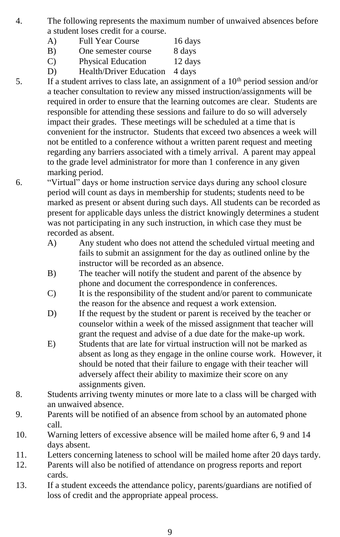- 4. The following represents the maximum number of unwaived absences before a student loses credit for a course.
	- A) Full Year Course 16 days
		- B) One semester course 8 days
		- C) Physical Education 12 days
		- D) Health/Driver Education 4 days
- 5. If a student arrives to class late, an assignment of a  $10<sup>th</sup>$  period session and/or a teacher consultation to review any missed instruction/assignments will be required in order to ensure that the learning outcomes are clear. Students are responsible for attending these sessions and failure to do so will adversely impact their grades. These meetings will be scheduled at a time that is convenient for the instructor. Students that exceed two absences a week will not be entitled to a conference without a written parent request and meeting regarding any barriers associated with a timely arrival. A parent may appeal to the grade level administrator for more than 1 conference in any given marking period.
- 6. "Virtual" days or home instruction service days during any school closure period will count as days in membership for students; students need to be marked as present or absent during such days. All students can be recorded as present for applicable days unless the district knowingly determines a student was not participating in any such instruction, in which case they must be recorded as absent.
	- A) Any student who does not attend the scheduled virtual meeting and fails to submit an assignment for the day as outlined online by the instructor will be recorded as an absence.
	- B) The teacher will notify the student and parent of the absence by phone and document the correspondence in conferences.
	- C) It is the responsibility of the student and/or parent to communicate the reason for the absence and request a work extension.
	- D) If the request by the student or parent is received by the teacher or counselor within a week of the missed assignment that teacher will grant the request and advise of a due date for the make-up work.
	- E) Students that are late for virtual instruction will not be marked as absent as long as they engage in the online course work. However, it should be noted that their failure to engage with their teacher will adversely affect their ability to maximize their score on any assignments given.
- 8. Students arriving twenty minutes or more late to a class will be charged with an unwaived absence.
- 9. Parents will be notified of an absence from school by an automated phone call.
- 10. Warning letters of excessive absence will be mailed home after 6, 9 and 14 days absent.
- 11. Letters concerning lateness to school will be mailed home after 20 days tardy.
- 12. Parents will also be notified of attendance on progress reports and report cards.
- 13. If a student exceeds the attendance policy, parents/guardians are notified of loss of credit and the appropriate appeal process.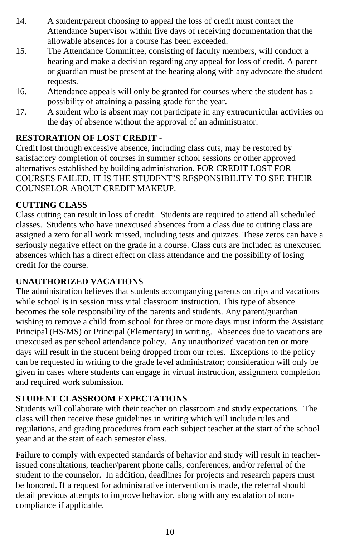- 14. A student/parent choosing to appeal the loss of credit must contact the Attendance Supervisor within five days of receiving documentation that the allowable absences for a course has been exceeded.
- 15. The Attendance Committee, consisting of faculty members, will conduct a hearing and make a decision regarding any appeal for loss of credit. A parent or guardian must be present at the hearing along with any advocate the student requests.
- 16. Attendance appeals will only be granted for courses where the student has a possibility of attaining a passing grade for the year.
- 17. A student who is absent may not participate in any extracurricular activities on the day of absence without the approval of an administrator.

# **RESTORATION OF LOST CREDIT -**

Credit lost through excessive absence, including class cuts, may be restored by satisfactory completion of courses in summer school sessions or other approved alternatives established by building administration. FOR CREDIT LOST FOR COURSES FAILED, IT IS THE STUDENT'S RESPONSIBILITY TO SEE THEIR COUNSELOR ABOUT CREDIT MAKEUP.

# **CUTTING CLASS**

Class cutting can result in loss of credit. Students are required to attend all scheduled classes. Students who have unexcused absences from a class due to cutting class are assigned a zero for all work missed, including tests and quizzes. These zeros can have a seriously negative effect on the grade in a course. Class cuts are included as unexcused absences which has a direct effect on class attendance and the possibility of losing credit for the course.

# **UNAUTHORIZED VACATIONS**

The administration believes that students accompanying parents on trips and vacations while school is in session miss vital classroom instruction. This type of absence becomes the sole responsibility of the parents and students. Any parent/guardian wishing to remove a child from school for three or more days must inform the Assistant Principal (HS/MS) or Principal (Elementary) in writing. Absences due to vacations are unexcused as per school attendance policy. Any unauthorized vacation ten or more days will result in the student being dropped from our roles. Exceptions to the policy can be requested in writing to the grade level administrator; consideration will only be given in cases where students can engage in virtual instruction, assignment completion and required work submission.

# **STUDENT CLASSROOM EXPECTATIONS**

Students will collaborate with their teacher on classroom and study expectations. The class will then receive these guidelines in writing which will include rules and regulations, and grading procedures from each subject teacher at the start of the school year and at the start of each semester class.

Failure to comply with expected standards of behavior and study will result in teacherissued consultations, teacher/parent phone calls, conferences, and/or referral of the student to the counselor. In addition, deadlines for projects and research papers must be honored. If a request for administrative intervention is made, the referral should detail previous attempts to improve behavior, along with any escalation of noncompliance if applicable.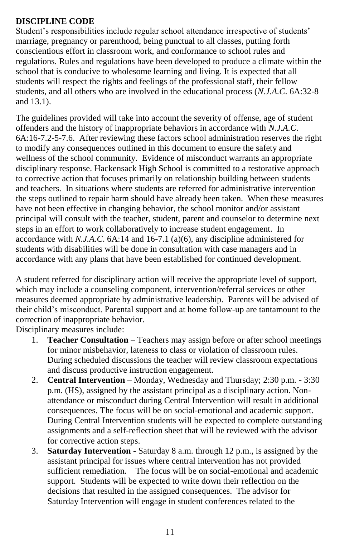# **DISCIPLINE CODE**

Student's responsibilities include regular school attendance irrespective of students' marriage, pregnancy or parenthood, being punctual to all classes, putting forth conscientious effort in classroom work, and conformance to school rules and regulations. Rules and regulations have been developed to produce a climate within the school that is conducive to wholesome learning and living. It is expected that all students will respect the rights and feelings of the professional staff, their fellow students, and all others who are involved in the educational process (*N.J.A.C*. 6A:32-8 and 13.1).

The guidelines provided will take into account the severity of offense, age of student offenders and the history of inappropriate behaviors in accordance with *N.J.A.C*. 6A:16-7.2-5-7.6. After reviewing these factors school administration reserves the right to modify any consequences outlined in this document to ensure the safety and wellness of the school community. Evidence of misconduct warrants an appropriate disciplinary response. Hackensack High School is committed to a restorative approach to corrective action that focuses primarily on relationship building between students and teachers. In situations where students are referred for administrative intervention the steps outlined to repair harm should have already been taken. When these measures have not been effective in changing behavior, the school monitor and/or assistant principal will consult with the teacher, student, parent and counselor to determine next steps in an effort to work collaboratively to increase student engagement. In accordance with *N.J.A.C*. 6A:14 and 16-7.1 (a)(6), any discipline administered for students with disabilities will be done in consultation with case managers and in accordance with any plans that have been established for continued development.

A student referred for disciplinary action will receive the appropriate level of support, which may include a counseling component, intervention/referral services or other measures deemed appropriate by administrative leadership. Parents will be advised of their child's misconduct. Parental support and at home follow-up are tantamount to the correction of inappropriate behavior.

Disciplinary measures include:

- 1. **Teacher Consultation** Teachers may assign before or after school meetings for minor misbehavior, lateness to class or violation of classroom rules. During scheduled discussions the teacher will review classroom expectations and discuss productive instruction engagement.
- 2. **Central Intervention** Monday, Wednesday and Thursday; 2:30 p.m. 3:30 p.m. (HS), assigned by the assistant principal as a disciplinary action. Nonattendance or misconduct during Central Intervention will result in additional consequences. The focus will be on social-emotional and academic support. During Central Intervention students will be expected to complete outstanding assignments and a self-reflection sheet that will be reviewed with the advisor for corrective action steps.
- 3. **Saturday Intervention -** Saturday 8 a.m. through 12 p.m., is assigned by the assistant principal for issues where central intervention has not provided sufficient remediation. The focus will be on social-emotional and academic support. Students will be expected to write down their reflection on the decisions that resulted in the assigned consequences. The advisor for Saturday Intervention will engage in student conferences related to the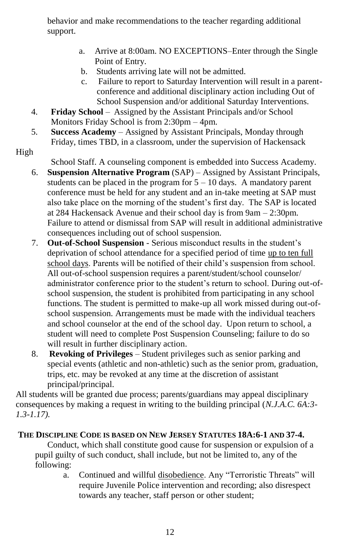behavior and make recommendations to the teacher regarding additional support.

- a. Arrive at 8:00am. NO EXCEPTIONS–Enter through the Single Point of Entry.
- b. Students arriving late will not be admitted.
- c. Failure to report to Saturday Intervention will result in a parentconference and additional disciplinary action including Out of School Suspension and/or additional Saturday Interventions.
- 4. **Friday School** Assigned by the Assistant Principals and/or School Monitors Friday School is from 2:30pm – 4pm.
- 5. **Success Academy**  Assigned by Assistant Principals, Monday through Friday, times TBD, in a classroom, under the supervision of Hackensack
- High

School Staff. A counseling component is embedded into Success Academy.

- 6. **Suspension Alternative Program** (SAP) Assigned by Assistant Principals, students can be placed in the program for  $5 - 10$  days. A mandatory parent conference must be held for any student and an in-take meeting at SAP must also take place on the morning of the student's first day. The SAP is located at 284 Hackensack Avenue and their school day is from 9am – 2:30pm. Failure to attend or dismissal from SAP will result in additional administrative consequences including out of school suspension.
- 7. **Out-of-School Suspension** Serious misconduct results in the student's deprivation of school attendance for a specified period of time up to ten full school days. Parents will be notified of their child's suspension from school. All out-of-school suspension requires a parent/student/school counselor/ administrator conference prior to the student's return to school. During out-ofschool suspension, the student is prohibited from participating in any school functions. The student is permitted to make-up all work missed during out-ofschool suspension. Arrangements must be made with the individual teachers and school counselor at the end of the school day. Upon return to school, a student will need to complete Post Suspension Counseling; failure to do so will result in further disciplinary action.
- 8. **Revoking of Privileges** Student privileges such as senior parking and special events (athletic and non-athletic) such as the senior prom, graduation, trips, etc. may be revoked at any time at the discretion of assistant principal/principal.

All students will be granted due process; parents/guardians may appeal disciplinary consequences by making a request in writing to the building principal (*N.J.A.C. 6A:3- 1.3-1.17).*

## **THE DISCIPLINE CODE IS BASED ON NEW JERSEY STATUTES 18A:6-1 AND 37-4.**

Conduct, which shall constitute good cause for suspension or expulsion of a pupil guilty of such conduct, shall include, but not be limited to, any of the following:

a. Continued and willful disobedience. Any "Terroristic Threats" will require Juvenile Police intervention and recording; also disrespect towards any teacher, staff person or other student;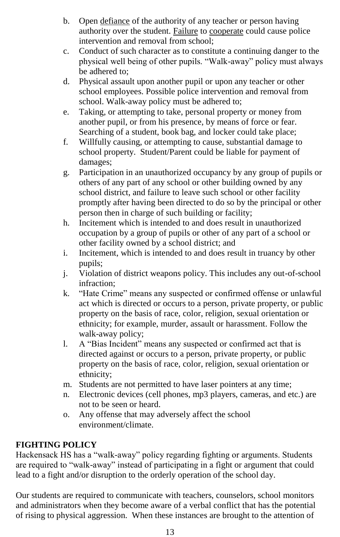- b. Open defiance of the authority of any teacher or person having authority over the student. Failure to cooperate could cause police intervention and removal from school;
- c. Conduct of such character as to constitute a continuing danger to the physical well being of other pupils. "Walk-away" policy must always be adhered to;
- d. Physical assault upon another pupil or upon any teacher or other school employees. Possible police intervention and removal from school. Walk-away policy must be adhered to;
- e. Taking, or attempting to take, personal property or money from another pupil, or from his presence, by means of force or fear. Searching of a student, book bag, and locker could take place;
- f. Willfully causing, or attempting to cause, substantial damage to school property. Student/Parent could be liable for payment of damages;
- g. Participation in an unauthorized occupancy by any group of pupils or others of any part of any school or other building owned by any school district, and failure to leave such school or other facility promptly after having been directed to do so by the principal or other person then in charge of such building or facility;
- h. Incitement which is intended to and does result in unauthorized occupation by a group of pupils or other of any part of a school or other facility owned by a school district; and
- i. Incitement, which is intended to and does result in truancy by other pupils;
- j. Violation of district weapons policy. This includes any out-of-school infraction;
- k. "Hate Crime" means any suspected or confirmed offense or unlawful act which is directed or occurs to a person, private property, or public property on the basis of race, color, religion, sexual orientation or ethnicity; for example, murder, assault or harassment. Follow the walk-away policy;
- l. A "Bias Incident" means any suspected or confirmed act that is directed against or occurs to a person, private property, or public property on the basis of race, color, religion, sexual orientation or ethnicity;
- m. Students are not permitted to have laser pointers at any time;
- n. Electronic devices (cell phones, mp3 players, cameras, and etc.) are not to be seen or heard.
- o. Any offense that may adversely affect the school environment/climate.

# **FIGHTING POLICY**

Hackensack HS has a "walk-away" policy regarding fighting or arguments. Students are required to "walk-away" instead of participating in a fight or argument that could lead to a fight and/or disruption to the orderly operation of the school day.

Our students are required to communicate with teachers, counselors, school monitors and administrators when they become aware of a verbal conflict that has the potential of rising to physical aggression. When these instances are brought to the attention of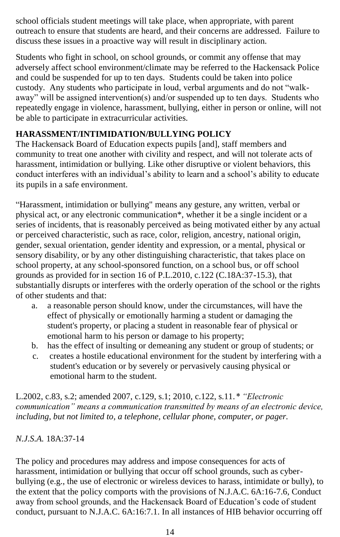school officials student meetings will take place, when appropriate, with parent outreach to ensure that students are heard, and their concerns are addressed. Failure to discuss these issues in a proactive way will result in disciplinary action.

Students who fight in school, on school grounds, or commit any offense that may adversely affect school environment/climate may be referred to the Hackensack Police and could be suspended for up to ten days. Students could be taken into police custody. Any students who participate in loud, verbal arguments and do not "walkaway" will be assigned intervention(s) and/or suspended up to ten days. Students who repeatedly engage in violence, harassment, bullying, either in person or online, will not be able to participate in extracurricular activities.

# **HARASSMENT/INTIMIDATION/BULLYING POLICY**

The Hackensack Board of Education expects pupils [and], staff members and community to treat one another with civility and respect, and will not tolerate acts of harassment, intimidation or bullying. Like other disruptive or violent behaviors, this conduct interferes with an individual's ability to learn and a school's ability to educate its pupils in a safe environment.

"Harassment, intimidation or bullying" means any gesture, any written, verbal or physical act, or any electronic communication\*, whether it be a single incident or a series of incidents, that is reasonably perceived as being motivated either by any actual or perceived characteristic, such as race, color, religion, ancestry, national origin, gender, sexual orientation, gender identity and expression, or a mental, physical or sensory disability, or by any other distinguishing characteristic, that takes place on school property, at any school-sponsored function, on a school bus, or off school grounds as provided for in section 16 of P.L.2010, c.122 (C.18A:37-15.3), that substantially disrupts or interferes with the orderly operation of the school or the rights of other students and that:

- a. a reasonable person should know, under the circumstances, will have the effect of physically or emotionally harming a student or damaging the student's property, or placing a student in reasonable fear of physical or emotional harm to his person or damage to his property;
- b. has the effect of insulting or demeaning any student or group of students; or
- c. creates a hostile educational environment for the student by interfering with a student's education or by severely or pervasively causing physical or emotional harm to the student.

L.2002, c.83, s.2; amended 2007, c.129, s.1; 2010, c.122, s.11.*\* "Electronic communication" means a communication transmitted by means of an electronic device, including, but not limited to, a telephone, cellular phone, computer, or pager.*

# *N.J.S.A.* 18A:37-14

The policy and procedures may address and impose consequences for acts of harassment, intimidation or bullying that occur off school grounds, such as cyberbullying (e.g., the use of electronic or wireless devices to harass, intimidate or bully), to the extent that the policy comports with the provisions of N.J.A.C. 6A:16-7.6, Conduct away from school grounds, and the Hackensack Board of Education's code of student conduct, pursuant to N.J.A.C. 6A:16:7.1. In all instances of HIB behavior occurring off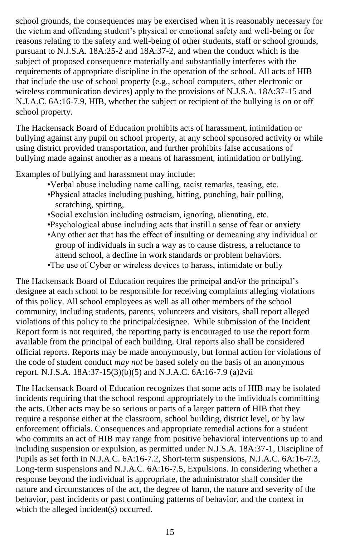school grounds, the consequences may be exercised when it is reasonably necessary for the victim and offending student's physical or emotional safety and well-being or for reasons relating to the safety and well-being of other students, staff or school grounds, pursuant to N.J.S.A. 18A:25-2 and 18A:37-2, and when the conduct which is the subject of proposed consequence materially and substantially interferes with the requirements of appropriate discipline in the operation of the school. All acts of HIB that include the use of school property (e.g., school computers, other electronic or wireless communication devices) apply to the provisions of N.J.S.A. 18A:37-15 and N.J.A.C. 6A:16-7.9, HIB, whether the subject or recipient of the bullying is on or off school property.

The Hackensack Board of Education prohibits acts of harassment, intimidation or bullying against any pupil on school property, at any school sponsored activity or while using district provided transportation, and further prohibits false accusations of bullying made against another as a means of harassment, intimidation or bullying.

Examples of bullying and harassment may include:

- •Verbal abuse including name calling, racist remarks, teasing, etc.
- •Physical attacks including pushing, hitting, punching, hair pulling, scratching, spitting,
- •Social exclusion including ostracism, ignoring, alienating, etc.
- •Psychological abuse including acts that instill a sense of fear or anxiety
- •Any other act that has the effect of insulting or demeaning any individual or group of individuals in such a way as to cause distress, a reluctance to attend school, a decline in work standards or problem behaviors.
- •The use of Cyber or wireless devices to harass, intimidate or bully

The Hackensack Board of Education requires the principal and/or the principal's designee at each school to be responsible for receiving complaints alleging violations of this policy. All school employees as well as all other members of the school community, including students, parents, volunteers and visitors, shall report alleged violations of this policy to the principal/designee. While submission of the Incident Report form is not required, the reporting party is encouraged to use the report form available from the principal of each building. Oral reports also shall be considered official reports. Reports may be made anonymously, but formal action for violations of the code of student conduct *may not* be based solely on the basis of an anonymous report. N.J.S.A. 18A:37-15(3)(b)(5) and N.J.A.C. 6A:16-7.9 (a)2vii

The Hackensack Board of Education recognizes that some acts of HIB may be isolated incidents requiring that the school respond appropriately to the individuals committing the acts. Other acts may be so serious or parts of a larger pattern of HIB that they require a response either at the classroom, school building, district level, or by law enforcement officials. Consequences and appropriate remedial actions for a student who commits an act of HIB may range from positive behavioral interventions up to and including suspension or expulsion, as permitted under N.J.S.A. 18A:37-1, Discipline of Pupils as set forth in N.J.A.C. 6A:16-7.2, Short-term suspensions, N.J.A.C. 6A:16-7.3, Long-term suspensions and N.J.A.C. 6A:16-7.5, Expulsions. In considering whether a response beyond the individual is appropriate, the administrator shall consider the nature and circumstances of the act, the degree of harm, the nature and severity of the behavior, past incidents or past continuing patterns of behavior, and the context in which the alleged incident(s) occurred.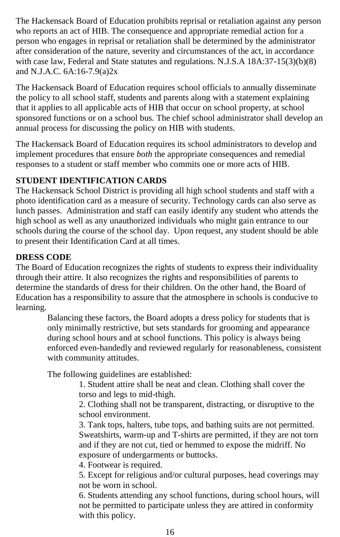The Hackensack Board of Education prohibits reprisal or retaliation against any person who reports an act of HIB. The consequence and appropriate remedial action for a person who engages in reprisal or retaliation shall be determined by the administrator after consideration of the nature, severity and circumstances of the act, in accordance with case law, Federal and State statutes and regulations. N.J.S.A 18A:37-15(3)(b)(8) and N.J.A.C. 6A:16-7.9(a)2x

The Hackensack Board of Education requires school officials to annually disseminate the policy to all school staff, students and parents along with a statement explaining that it applies to all applicable acts of HIB that occur on school property, at school sponsored functions or on a school bus. The chief school administrator shall develop an annual process for discussing the policy on HIB with students.

The Hackensack Board of Education requires its school administrators to develop and implement procedures that ensure *b*o*th* the appropriate consequences and remedial responses to a student or staff member who commits one or more acts of HIB.

# **STUDENT IDENTIFICATION CARDS**

The Hackensack School District is providing all high school students and staff with a photo identification card as a measure of security. Technology cards can also serve as lunch passes. Administration and staff can easily identify any student who attends the high school as well as any unauthorized individuals who might gain entrance to our schools during the course of the school day. Upon request, any student should be able to present their Identification Card at all times.

## **DRESS CODE**

The Board of Education recognizes the rights of students to express their individuality through their attire. It also recognizes the rights and responsibilities of parents to determine the standards of dress for their children. On the other hand, the Board of Education has a responsibility to assure that the atmosphere in schools is conducive to learning.

> Balancing these factors, the Board adopts a dress policy for students that is only minimally restrictive, but sets standards for grooming and appearance during school hours and at school functions. This policy is always being enforced even-handedly and reviewed regularly for reasonableness, consistent with community attitudes.

The following guidelines are established:

1. Student attire shall be neat and clean. Clothing shall cover the torso and legs to mid-thigh.

2. Clothing shall not be transparent, distracting, or disruptive to the school environment.

3. Tank tops, halters, tube tops, and bathing suits are not permitted. Sweatshirts, warm-up and T-shirts are permitted, if they are not torn and if they are not cut, tied or hemmed to expose the midriff. No exposure of undergarments or buttocks.

4. Footwear is required.

5. Except for religious and/or cultural purposes, head coverings may not be worn in school.

6. Students attending any school functions, during school hours, will not be permitted to participate unless they are attired in conformity with this policy.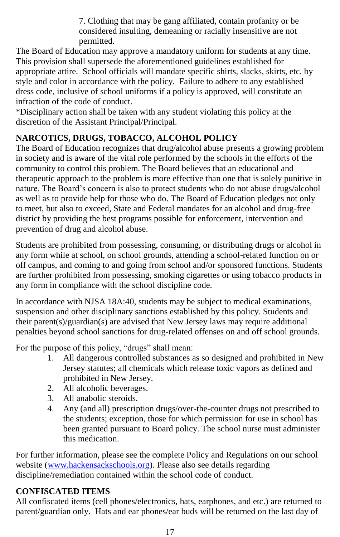7. Clothing that may be gang affiliated, contain profanity or be considered insulting, demeaning or racially insensitive are not permitted.

The Board of Education may approve a mandatory uniform for students at any time. This provision shall supersede the aforementioned guidelines established for appropriate attire. School officials will mandate specific shirts, slacks, skirts, etc. by style and color in accordance with the policy. Failure to adhere to any established dress code, inclusive of school uniforms if a policy is approved, will constitute an infraction of the code of conduct.

\*Disciplinary action shall be taken with any student violating this policy at the discretion of the Assistant Principal/Principal.

# **NARCOTICS, DRUGS, TOBACCO, ALCOHOL POLICY**

The Board of Education recognizes that drug/alcohol abuse presents a growing problem in society and is aware of the vital role performed by the schools in the efforts of the community to control this problem. The Board believes that an educational and therapeutic approach to the problem is more effective than one that is solely punitive in nature. The Board's concern is also to protect students who do not abuse drugs/alcohol as well as to provide help for those who do. The Board of Education pledges not only to meet, but also to exceed, State and Federal mandates for an alcohol and drug-free district by providing the best programs possible for enforcement, intervention and prevention of drug and alcohol abuse.

Students are prohibited from possessing, consuming, or distributing drugs or alcohol in any form while at school, on school grounds, attending a school-related function on or off campus, and coming to and going from school and/or sponsored functions. Students are further prohibited from possessing, smoking cigarettes or using tobacco products in any form in compliance with the school discipline code.

In accordance with NJSA 18A:40, students may be subject to medical examinations, suspension and other disciplinary sanctions established by this policy. Students and their parent(s)/guardian(s) are advised that New Jersey laws may require additional penalties beyond school sanctions for drug-related offenses on and off school grounds.

For the purpose of this policy, "drugs" shall mean:

- 1. All dangerous controlled substances as so designed and prohibited in New Jersey statutes; all chemicals which release toxic vapors as defined and prohibited in New Jersey.
- 2. All alcoholic beverages.
- 3. All anabolic steroids.
- 4. Any (and all) prescription drugs/over-the-counter drugs not prescribed to the students; exception, those for which permission for use in school has been granted pursuant to Board policy. The school nurse must administer this medication.

For further information, please see the complete Policy and Regulations on our school website [\(www.hackensackschools.org\)](http://www.hackensackschools.org/). Please also see details regarding discipline/remediation contained within the school code of conduct.

# **CONFISCATED ITEMS**

All confiscated items (cell phones/electronics, hats, earphones, and etc.) are returned to parent/guardian only. Hats and ear phones/ear buds will be returned on the last day of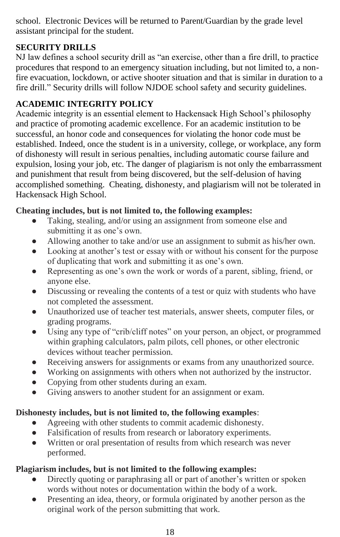school. Electronic Devices will be returned to Parent/Guardian by the grade level assistant principal for the student.

# **SECURITY DRILLS**

NJ law defines a school security drill as "an exercise, other than a fire drill, to practice procedures that respond to an emergency situation including, but not limited to, a nonfire evacuation, lockdown, or active shooter situation and that is similar in duration to a fire drill." Security drills will follow NJDOE school safety and security guidelines.

# **ACADEMIC INTEGRITY POLICY**

Academic integrity is an essential element to Hackensack High School's philosophy and practice of promoting academic excellence. For an academic institution to be successful, an honor code and consequences for violating the honor code must be established. Indeed, once the student is in a university, college, or workplace, any form of dishonesty will result in serious penalties, including automatic course failure and expulsion, losing your job, etc. The danger of plagiarism is not only the embarrassment and punishment that result from being discovered, but the self-delusion of having accomplished something. Cheating, dishonesty, and plagiarism will not be tolerated in Hackensack High School.

# **Cheating includes, but is not limited to, the following examples:**

- Taking, stealing, and/or using an assignment from someone else and submitting it as one's own.
- Allowing another to take and/or use an assignment to submit as his/her own.
- Looking at another's test or essay with or without his consent for the purpose of duplicating that work and submitting it as one's own.
- Representing as one's own the work or words of a parent, sibling, friend, or anyone else.
- Discussing or revealing the contents of a test or quiz with students who have not completed the assessment.
- Unauthorized use of teacher test materials, answer sheets, computer files, or grading programs.
- Using any type of "crib/cliff notes" on your person, an object, or programmed within graphing calculators, palm pilots, cell phones, or other electronic devices without teacher permission.
- Receiving answers for assignments or exams from any unauthorized source.
- Working on assignments with others when not authorized by the instructor.
- Copying from other students during an exam.
- Giving answers to another student for an assignment or exam.

# **Dishonesty includes, but is not limited to, the following examples**:

- Agreeing with other students to commit academic dishonesty.
- Falsification of results from research or laboratory experiments.
- Written or oral presentation of results from which research was never performed.

# **Plagiarism includes, but is not limited to the following examples:**

- Directly quoting or paraphrasing all or part of another's written or spoken words without notes or documentation within the body of a work.
- Presenting an idea, theory, or formula originated by another person as the original work of the person submitting that work.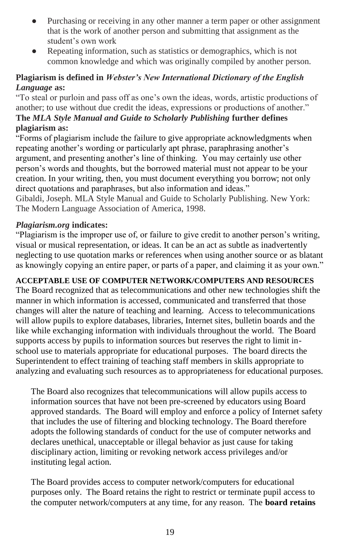- Purchasing or receiving in any other manner a term paper or other assignment that is the work of another person and submitting that assignment as the student's own work
- Repeating information, such as statistics or demographics, which is not common knowledge and which was originally compiled by another person.

# **Plagiarism is defined in** *Webster's New International Dictionary of the English Language* **as:**

"To steal or purloin and pass off as one's own the ideas, words, artistic productions of another; to use without due credit the ideas, expressions or productions of another."

## **The** *MLA Style Manual and Guide to Scholarly Publishing* **further defines plagiarism as:**

"Forms of plagiarism include the failure to give appropriate acknowledgments when repeating another's wording or particularly apt phrase, paraphrasing another's argument, and presenting another's line of thinking. You may certainly use other person's words and thoughts, but the borrowed material must not appear to be your creation. In your writing, then, you must document everything you borrow; not only direct quotations and paraphrases, but also information and ideas."

Gibaldi, Joseph. MLA Style Manual and Guide to Scholarly Publishing. New York: The Modern Language Association of America, 1998.

## *Plagiarism.org* **indicates:**

"Plagiarism is the improper use of, or failure to give credit to another person's writing, visual or musical representation, or ideas. It can be an act as subtle as inadvertently neglecting to use quotation marks or references when using another source or as blatant as knowingly copying an entire paper, or parts of a paper, and claiming it as your own."

# **ACCEPTABLE USE OF COMPUTER NETWORK/COMPUTERS AND RESOURCES**

The Board recognized that as telecommunications and other new technologies shift the manner in which information is accessed, communicated and transferred that those changes will alter the nature of teaching and learning. Access to telecommunications will allow pupils to explore databases, libraries, Internet sites, bulletin boards and the like while exchanging information with individuals throughout the world. The Board supports access by pupils to information sources but reserves the right to limit inschool use to materials appropriate for educational purposes. The board directs the Superintendent to effect training of teaching staff members in skills appropriate to analyzing and evaluating such resources as to appropriateness for educational purposes.

The Board also recognizes that telecommunications will allow pupils access to information sources that have not been pre-screened by educators using Board approved standards. The Board will employ and enforce a policy of Internet safety that includes the use of filtering and blocking technology. The Board therefore adopts the following standards of conduct for the use of computer networks and declares unethical, unacceptable or illegal behavior as just cause for taking disciplinary action, limiting or revoking network access privileges and/or instituting legal action.

The Board provides access to computer network/computers for educational purposes only. The Board retains the right to restrict or terminate pupil access to the computer network/computers at any time, for any reason. The **board retains**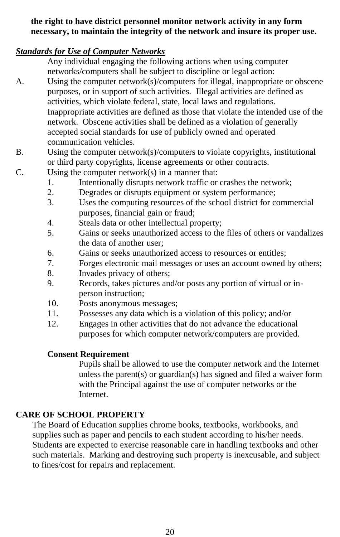## **the right to have district personnel monitor network activity in any form necessary, to maintain the integrity of the network and insure its proper use.**

# *Standards for Use of Computer Networks*

- Any individual engaging the following actions when using computer networks/computers shall be subject to discipline or legal action:
- A. Using the computer network(s)/computers for illegal, inappropriate or obscene purposes, or in support of such activities. Illegal activities are defined as activities, which violate federal, state, local laws and regulations. Inappropriate activities are defined as those that violate the intended use of the network. Obscene activities shall be defined as a violation of generally accepted social standards for use of publicly owned and operated communication vehicles.
- B. Using the computer network(s)/computers to violate copyrights, institutional or third party copyrights, license agreements or other contracts.
- C. Using the computer network(s) in a manner that:
	- 1. Intentionally disrupts network traffic or crashes the network;
	- 2. Degrades or disrupts equipment or system performance;
	- 3. Uses the computing resources of the school district for commercial purposes, financial gain or fraud;
	- 4. Steals data or other intellectual property;
	- 5. Gains or seeks unauthorized access to the files of others or vandalizes the data of another user;
	- 6. Gains or seeks unauthorized access to resources or entitles;
	- 7. Forges electronic mail messages or uses an account owned by others;
	- 8. Invades privacy of others;
	- 9. Records, takes pictures and/or posts any portion of virtual or inperson instruction;
	- 10. Posts anonymous messages;
	- 11. Possesses any data which is a violation of this policy; and/or
	- 12. Engages in other activities that do not advance the educational purposes for which computer network/computers are provided.

# **Consent Requirement**

Pupils shall be allowed to use the computer network and the Internet unless the parent(s) or guardian(s) has signed and filed a waiver form with the Principal against the use of computer networks or the **Internet** 

# **CARE OF SCHOOL PROPERTY**

The Board of Education supplies chrome books, textbooks, workbooks, and supplies such as paper and pencils to each student according to his/her needs. Students are expected to exercise reasonable care in handling textbooks and other such materials. Marking and destroying such property is inexcusable, and subject to fines/cost for repairs and replacement.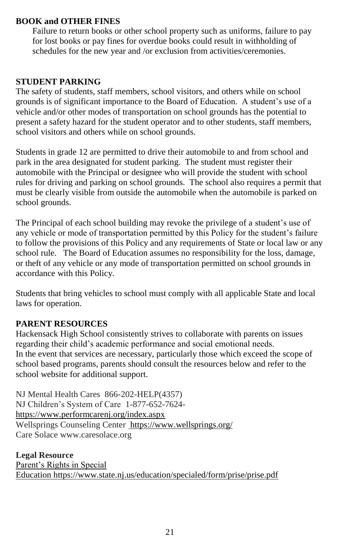## **BOOK and OTHER FINES**

Failure to return books or other school property such as uniforms, failure to pay for lost books or pay fines for overdue books could result in withholding of schedules for the new year and /or exclusion from activities/ceremonies.

## **STUDENT PARKING**

The safety of students, staff members, school visitors, and others while on school grounds is of significant importance to the Board of Education. A student's use of a vehicle and/or other modes of transportation on school grounds has the potential to present a safety hazard for the student operator and to other students, staff members, school visitors and others while on school grounds.

Students in grade 12 are permitted to drive their automobile to and from school and park in the area designated for student parking. The student must register their automobile with the Principal or designee who will provide the student with school rules for driving and parking on school grounds. The school also requires a permit that must be clearly visible from outside the automobile when the automobile is parked on school grounds.

The Principal of each school building may revoke the privilege of a student's use of any vehicle or mode of transportation permitted by this Policy for the student's failure to follow the provisions of this Policy and any requirements of State or local law or any school rule. The Board of Education assumes no responsibility for the loss, damage, or theft of any vehicle or any mode of transportation permitted on school grounds in accordance with this Policy.

Students that bring vehicles to school must comply with all applicable State and local laws for operation.

## **PARENT RESOURCES**

Hackensack High School consistently strives to collaborate with parents on issues regarding their child's academic performance and social emotional needs. In the event that services are necessary, particularly those which exceed the scope of school based programs, parents should consult the resources below and refer to the school website for additional support.

NJ Mental Health Cares 866-202-HELP(4357) NJ Children's System of Care 1-877-652-7624 <https://www.performcarenj.org/index.aspx> Wellsprings Counseling Center <https://www.wellsprings.org/> Care Solace www.caresolace.org

**Legal Resource** [Parent's Rights in Special](https://www.state.nj.us/education/specialed/form/prise/prise.pdf)  Education <https://www.state.nj.us/education/specialed/form/prise/prise.pdf>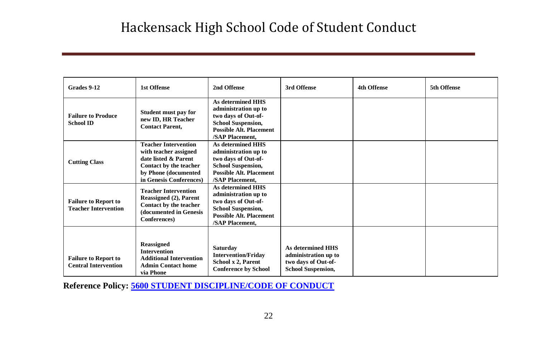| Grades 9-12                                                | <b>1st Offense</b>                                                                                                                                        | 2nd Offense                                                                                                                                        | 3rd Offense                                                                                          | <b>4th Offense</b> | 5th Offense |
|------------------------------------------------------------|-----------------------------------------------------------------------------------------------------------------------------------------------------------|----------------------------------------------------------------------------------------------------------------------------------------------------|------------------------------------------------------------------------------------------------------|--------------------|-------------|
| <b>Failure to Produce</b><br><b>School ID</b>              | Student must pay for<br>new ID, HR Teacher<br><b>Contact Parent,</b>                                                                                      | As determined HHS<br>administration up to<br>two days of Out-of-<br><b>School Suspension,</b><br><b>Possible Alt. Placement</b><br>/SAP Placement. |                                                                                                      |                    |             |
| <b>Cutting Class</b>                                       | <b>Teacher Intervention</b><br>with teacher assigned<br>date listed & Parent<br>Contact by the teacher<br>by Phone (documented<br>in Genesis Conferences) | As determined HHS<br>administration up to<br>two days of Out-of-<br><b>School Suspension,</b><br><b>Possible Alt. Placement</b><br>/SAP Placement. |                                                                                                      |                    |             |
| <b>Failure to Report to</b><br><b>Teacher Intervention</b> | <b>Teacher Intervention</b><br>Reassigned (2), Parent<br>Contact by the teacher<br>(documented in Genesis<br>Conferences)                                 | As determined HHS<br>administration up to<br>two days of Out-of-<br><b>School Suspension,</b><br><b>Possible Alt. Placement</b><br>/SAP Placement, |                                                                                                      |                    |             |
| <b>Failure to Report to</b><br><b>Central Intervention</b> | <b>Reassigned</b><br><b>Intervention</b><br><b>Additional Intervention</b><br><b>Admin Contact home</b><br>via Phone                                      | Saturday<br><b>Intervention/Friday</b><br>School x 2, Parent<br><b>Conference by School</b>                                                        | <b>As determined HHS</b><br>administration up to<br>two days of Out-of-<br><b>School Suspension,</b> |                    |             |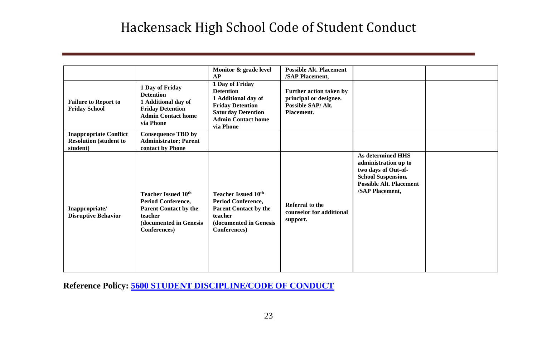|                                                                            |                                                                                                                                       | Monitor & grade level<br>AP                                                                                                                                  | <b>Possible Alt. Placement</b><br>/SAP Placement.                                    |                                                                                                                                                           |  |
|----------------------------------------------------------------------------|---------------------------------------------------------------------------------------------------------------------------------------|--------------------------------------------------------------------------------------------------------------------------------------------------------------|--------------------------------------------------------------------------------------|-----------------------------------------------------------------------------------------------------------------------------------------------------------|--|
| <b>Failure to Report to</b><br><b>Friday School</b>                        | 1 Day of Friday<br><b>Detention</b><br>1 Additional day of<br><b>Friday Detention</b><br><b>Admin Contact home</b><br>via Phone       | 1 Day of Friday<br><b>Detention</b><br>1 Additional day of<br><b>Friday Detention</b><br><b>Saturday Detention</b><br><b>Admin Contact home</b><br>via Phone | Further action taken by<br>principal or designee.<br>Possible SAP/Alt.<br>Placement. |                                                                                                                                                           |  |
| <b>Inappropriate Conflict</b><br><b>Resolution (student to</b><br>student) | <b>Consequence TBD by</b><br><b>Administrator; Parent</b><br>contact by Phone                                                         |                                                                                                                                                              |                                                                                      |                                                                                                                                                           |  |
| Inappropriate/<br><b>Disruptive Behavior</b>                               | <b>Teacher Issued 10th</b><br>Period Conference,<br><b>Parent Contact by the</b><br>teacher<br>(documented in Genesis<br>Conferences) | <b>Teacher Issued 10th</b><br>Period Conference,<br>Parent Contact by the<br>teacher<br>(documented in Genesis<br>Conferences)                               | <b>Referral to the</b><br>counselor for additional<br>support.                       | <b>As determined HHS</b><br>administration up to<br>two days of Out-of-<br><b>School Suspension,</b><br><b>Possible Alt. Placement</b><br>/SAP Placement, |  |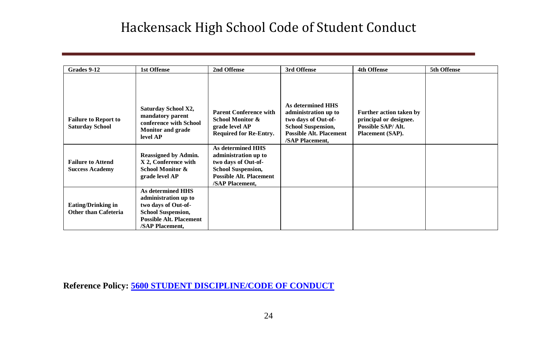| Grades 9-12                                                                                                 | <b>1st Offense</b>                                                                                                                                                                              | 2nd Offense                                                                                                                                                                                           | 3rd Offense                                                                                                                                               | <b>4th Offense</b>                                                                         | 5th Offense |
|-------------------------------------------------------------------------------------------------------------|-------------------------------------------------------------------------------------------------------------------------------------------------------------------------------------------------|-------------------------------------------------------------------------------------------------------------------------------------------------------------------------------------------------------|-----------------------------------------------------------------------------------------------------------------------------------------------------------|--------------------------------------------------------------------------------------------|-------------|
| <b>Failure to Report to</b><br><b>Saturday School</b><br><b>Failure to Attend</b><br><b>Success Academy</b> | Saturday School X2,<br>mandatory parent<br>conference with School<br><b>Monitor and grade</b><br>level AP<br><b>Reassigned by Admin.</b><br>X 2, Conference with<br><b>School Monitor &amp;</b> | <b>Parent Conference with</b><br>School Monitor &<br>grade level AP<br><b>Required for Re-Entry.</b><br>As determined HHS<br>administration up to<br>two days of Out-of-<br><b>School Suspension,</b> | <b>As determined HHS</b><br>administration up to<br>two days of Out-of-<br><b>School Suspension,</b><br><b>Possible Alt. Placement</b><br>/SAP Placement, | Further action taken by<br>principal or designee.<br>Possible SAP/Alt.<br>Placement (SAP). |             |
|                                                                                                             | grade level AP                                                                                                                                                                                  | <b>Possible Alt. Placement</b><br>/SAP Placement,                                                                                                                                                     |                                                                                                                                                           |                                                                                            |             |
| <b>Eating/Drinking in</b><br><b>Other than Cafeteria</b>                                                    | As determined HHS<br>administration up to<br>two days of Out-of-<br><b>School Suspension,</b><br><b>Possible Alt. Placement</b><br>/SAP Placement,                                              |                                                                                                                                                                                                       |                                                                                                                                                           |                                                                                            |             |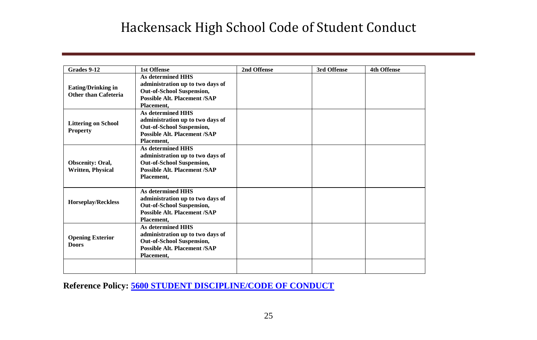| Grades 9-12                                       | <b>1st Offense</b>                                                                                                                                    | 2nd Offense | 3rd Offense | <b>4th Offense</b> |
|---------------------------------------------------|-------------------------------------------------------------------------------------------------------------------------------------------------------|-------------|-------------|--------------------|
| <b>Eating/Drinking in</b><br>Other than Cafeteria | <b>As determined HHS</b><br>administration up to two days of<br><b>Out-of-School Suspension,</b><br><b>Possible Alt. Placement /SAP</b><br>Placement. |             |             |                    |
| <b>Littering on School</b><br><b>Property</b>     | <b>As determined HHS</b><br>administration up to two days of<br>Out-of-School Suspension,<br><b>Possible Alt. Placement /SAP</b><br>Placement.        |             |             |                    |
| Obscenity: Oral,<br><b>Written, Physical</b>      | <b>As determined HHS</b><br>administration up to two days of<br><b>Out-of-School Suspension,</b><br><b>Possible Alt. Placement /SAP</b><br>Placement, |             |             |                    |
| <b>Horseplay/Reckless</b>                         | <b>As determined HHS</b><br>administration up to two days of<br><b>Out-of-School Suspension,</b><br><b>Possible Alt. Placement /SAP</b><br>Placement, |             |             |                    |
| <b>Opening Exterior</b><br><b>Doors</b>           | <b>As determined HHS</b><br>administration up to two days of<br><b>Out-of-School Suspension,</b><br><b>Possible Alt. Placement /SAP</b><br>Placement, |             |             |                    |
|                                                   |                                                                                                                                                       |             |             |                    |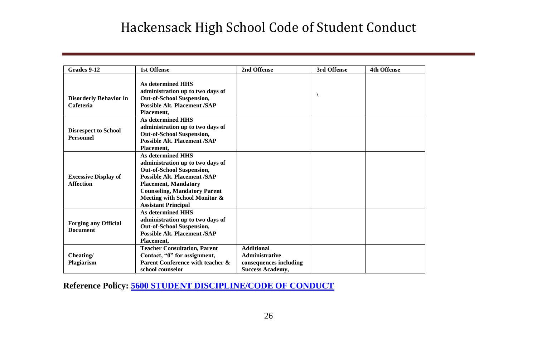| Grades 9-12                                     | <b>1st Offense</b>                                                                                                                                                                                                                                                           | 2nd Offense                                                                                     | 3rd Offense | <b>4th Offense</b> |
|-------------------------------------------------|------------------------------------------------------------------------------------------------------------------------------------------------------------------------------------------------------------------------------------------------------------------------------|-------------------------------------------------------------------------------------------------|-------------|--------------------|
| <b>Disorderly Behavior in</b><br>Cafeteria      | <b>As determined HHS</b><br>administration up to two days of<br><b>Out-of-School Suspension,</b><br><b>Possible Alt. Placement /SAP</b><br>Placement.                                                                                                                        |                                                                                                 |             |                    |
| <b>Disrespect to School</b><br><b>Personnel</b> | <b>As determined HHS</b><br>administration up to two days of<br><b>Out-of-School Suspension,</b><br><b>Possible Alt. Placement /SAP</b><br>Placement.                                                                                                                        |                                                                                                 |             |                    |
| <b>Excessive Display of</b><br><b>Affection</b> | <b>As determined HHS</b><br>administration up to two days of<br><b>Out-of-School Suspension,</b><br><b>Possible Alt. Placement /SAP</b><br><b>Placement, Mandatory</b><br><b>Counseling, Mandatory Parent</b><br>Meeting with School Monitor &<br><b>Assistant Principal</b> |                                                                                                 |             |                    |
| <b>Forging any Official</b><br><b>Document</b>  | <b>As determined HHS</b><br>administration up to two days of<br><b>Out-of-School Suspension,</b><br><b>Possible Alt. Placement /SAP</b><br>Placement.                                                                                                                        |                                                                                                 |             |                    |
| Cheating/<br>Plagiarism                         | <b>Teacher Consultation, Parent</b><br>Contact, "0" for assignment,<br>Parent Conference with teacher &<br>school counselor                                                                                                                                                  | <b>Additional</b><br><b>Administrative</b><br>consequences including<br><b>Success Academy.</b> |             |                    |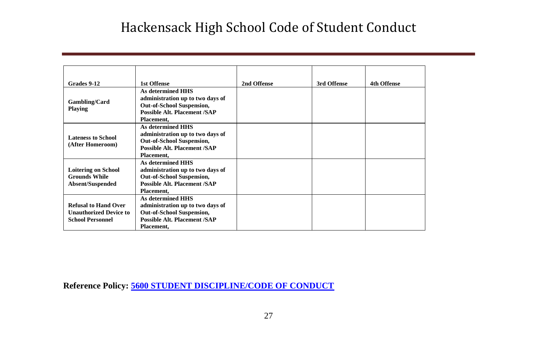| Grades 9-12                                                                             | <b>1st Offense</b>                                                                                                                                    | 2nd Offense | 3rd Offense | <b>4th Offense</b> |
|-----------------------------------------------------------------------------------------|-------------------------------------------------------------------------------------------------------------------------------------------------------|-------------|-------------|--------------------|
| Gambling/Card<br><b>Playing</b>                                                         | As determined HHS<br>administration up to two days of<br>Out-of-School Suspension,<br><b>Possible Alt. Placement /SAP</b><br>Placement.               |             |             |                    |
| <b>Lateness to School</b><br>(After Homeroom)                                           | <b>As determined HHS</b><br>administration up to two days of<br><b>Out-of-School Suspension,</b><br><b>Possible Alt. Placement /SAP</b><br>Placement. |             |             |                    |
| <b>Loitering on School</b><br><b>Grounds While</b><br>Absent/Suspended                  | <b>As determined HHS</b><br>administration up to two days of<br><b>Out-of-School Suspension,</b><br><b>Possible Alt. Placement /SAP</b><br>Placement. |             |             |                    |
| <b>Refusal to Hand Over</b><br><b>Unauthorized Device to</b><br><b>School Personnel</b> | <b>As determined HHS</b><br>administration up to two days of<br><b>Out-of-School Suspension,</b><br><b>Possible Alt. Placement /SAP</b><br>Placement. |             |             |                    |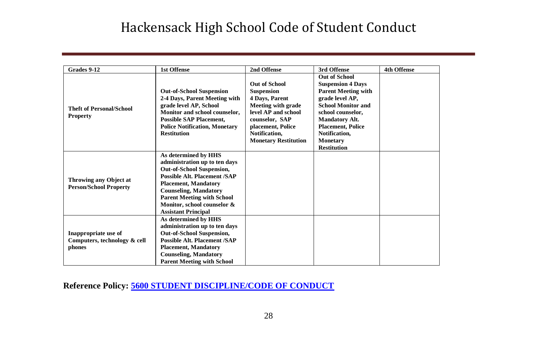| Grades 9-12                                                    | <b>1st Offense</b>                                                                                                                                                                                                                                                                  | 2nd Offense                                                                                                                                                                                            | 3rd Offense                                                                                                                                                                                                                                                        | <b>4th Offense</b> |
|----------------------------------------------------------------|-------------------------------------------------------------------------------------------------------------------------------------------------------------------------------------------------------------------------------------------------------------------------------------|--------------------------------------------------------------------------------------------------------------------------------------------------------------------------------------------------------|--------------------------------------------------------------------------------------------------------------------------------------------------------------------------------------------------------------------------------------------------------------------|--------------------|
| <b>Theft of Personal/School</b><br><b>Property</b>             | <b>Out-of-School Suspension</b><br>2-4 Days, Parent Meeting with<br>grade level AP, School<br>Monitor and school counselor,<br><b>Possible SAP Placement,</b><br><b>Police Notification, Monetary</b><br><b>Restitution</b>                                                         | <b>Out of School</b><br><b>Suspension</b><br>4 Days, Parent<br><b>Meeting with grade</b><br>level AP and school<br>counselor, SAP<br>placement, Police<br>Notification.<br><b>Monetary Restitution</b> | <b>Out of School</b><br><b>Suspension 4 Days</b><br><b>Parent Meeting with</b><br>grade level AP,<br><b>School Monitor and</b><br>school counselor,<br><b>Mandatory Alt.</b><br><b>Placement, Police</b><br>Notification.<br><b>Monetary</b><br><b>Restitution</b> |                    |
| Throwing any Object at<br><b>Person/School Property</b>        | As determined by HHS<br>administration up to ten days<br>Out-of-School Suspension,<br>Possible Alt. Placement /SAP<br><b>Placement, Mandatory</b><br><b>Counseling, Mandatory</b><br><b>Parent Meeting with School</b><br>Monitor, school counselor &<br><b>Assistant Principal</b> |                                                                                                                                                                                                        |                                                                                                                                                                                                                                                                    |                    |
| Inappropriate use of<br>Computers, technology & cell<br>phones | As determined by HHS<br>administration up to ten days<br>Out-of-School Suspension,<br><b>Possible Alt. Placement /SAP</b><br><b>Placement, Mandatory</b><br><b>Counseling, Mandatory</b><br><b>Parent Meeting with School</b>                                                       |                                                                                                                                                                                                        |                                                                                                                                                                                                                                                                    |                    |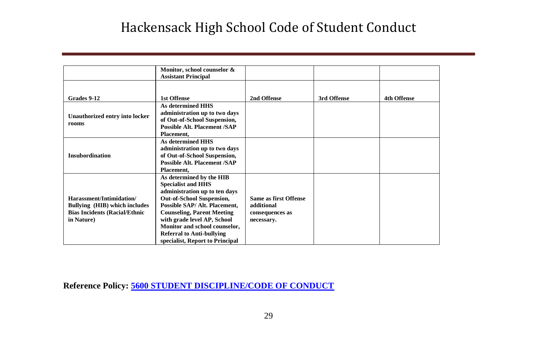|                                                                                                                 | Monitor, school counselor &<br><b>Assistant Principal</b>                                                                                                                                                                                                                                                                               |                                                                      |             |                    |
|-----------------------------------------------------------------------------------------------------------------|-----------------------------------------------------------------------------------------------------------------------------------------------------------------------------------------------------------------------------------------------------------------------------------------------------------------------------------------|----------------------------------------------------------------------|-------------|--------------------|
|                                                                                                                 |                                                                                                                                                                                                                                                                                                                                         |                                                                      |             |                    |
| Grades 9-12                                                                                                     | 1st Offense                                                                                                                                                                                                                                                                                                                             | 2nd Offense                                                          | 3rd Offense | <b>4th Offense</b> |
| Unauthorized entry into locker<br>rooms                                                                         | As determined HHS<br>administration up to two days<br>of Out-of-School Suspension,<br><b>Possible Alt. Placement /SAP</b><br>Placement.                                                                                                                                                                                                 |                                                                      |             |                    |
| Insubordination                                                                                                 | As determined HHS<br>administration up to two days<br>of Out-of-School Suspension,<br><b>Possible Alt. Placement /SAP</b><br>Placement,                                                                                                                                                                                                 |                                                                      |             |                    |
| Harassment/Intimidation/<br>Bullying (HIB) which includes<br><b>Bias Incidents (Racial/Ethnic</b><br>in Nature) | As determined by the HIB<br><b>Specialist and HHS</b><br>administration up to ten days<br><b>Out-of-School Suspension,</b><br>Possible SAP/ Alt. Placement,<br><b>Counseling, Parent Meeting</b><br>with grade level AP, School<br>Monitor and school counselor,<br><b>Referral to Anti-bullying</b><br>specialist, Report to Principal | Same as first Offense<br>additional<br>consequences as<br>necessary. |             |                    |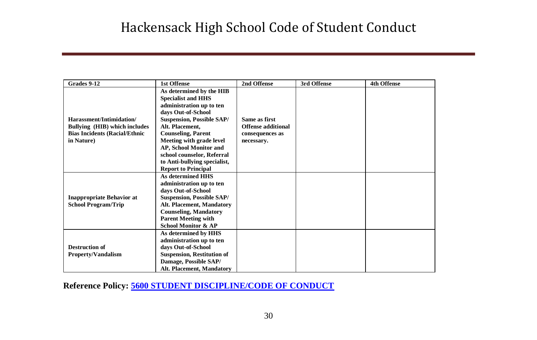| Grades 9-12                                                                                                     | <b>1st Offense</b>                                                                                                                                                                                                                                                                                                                            | 2nd Offense                                                          | 3rd Offense | <b>4th Offense</b> |
|-----------------------------------------------------------------------------------------------------------------|-----------------------------------------------------------------------------------------------------------------------------------------------------------------------------------------------------------------------------------------------------------------------------------------------------------------------------------------------|----------------------------------------------------------------------|-------------|--------------------|
| Harassment/Intimidation/<br>Bullying (HIB) which includes<br><b>Bias Incidents (Racial/Ethnic</b><br>in Nature) | As determined by the HIB<br><b>Specialist and HHS</b><br>administration up to ten<br>days Out-of-School<br><b>Suspension, Possible SAP/</b><br>Alt. Placement.<br><b>Counseling, Parent</b><br>Meeting with grade level<br>AP, School Monitor and<br>school counselor, Referral<br>to Anti-bullying specialist,<br><b>Report to Principal</b> | Same as first<br>Offense additional<br>consequences as<br>necessary. |             |                    |
| <b>Inappropriate Behavior at</b><br><b>School Program/Trip</b>                                                  | <b>As determined HHS</b><br>administration up to ten<br>days Out-of-School<br><b>Suspension, Possible SAP/</b><br>Alt. Placement, Mandatory<br><b>Counseling, Mandatory</b><br><b>Parent Meeting with</b><br><b>School Monitor &amp; AP</b>                                                                                                   |                                                                      |             |                    |
| <b>Destruction of</b><br><b>Property/Vandalism</b>                                                              | As determined by HHS<br>administration up to ten<br>days Out-of-School<br><b>Suspension, Restitution of</b><br>Damage, Possible SAP/<br>Alt. Placement, Mandatory                                                                                                                                                                             |                                                                      |             |                    |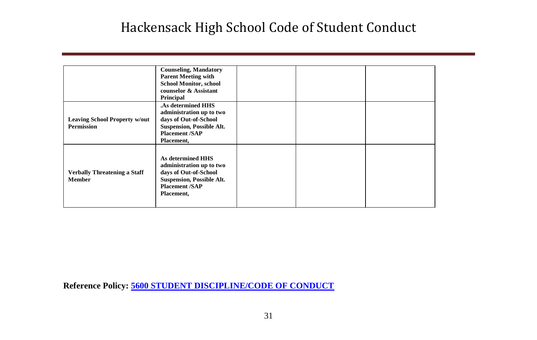|                                                           | <b>Counseling, Mandatory</b><br><b>Parent Meeting with</b><br><b>School Monitor, school</b><br>counselor & Assistant<br>Principal                  |  |  |
|-----------------------------------------------------------|----------------------------------------------------------------------------------------------------------------------------------------------------|--|--|
| <b>Leaving School Property w/out</b><br><b>Permission</b> | .As determined HHS<br>administration up to two<br>days of Out-of-School<br><b>Suspension, Possible Alt.</b><br><b>Placement /SAP</b><br>Placement, |  |  |
| <b>Verbally Threatening a Staff</b><br><b>Member</b>      | As determined HHS<br>administration up to two<br>days of Out-of-School<br><b>Suspension, Possible Alt.</b><br><b>Placement /SAP</b><br>Placement,  |  |  |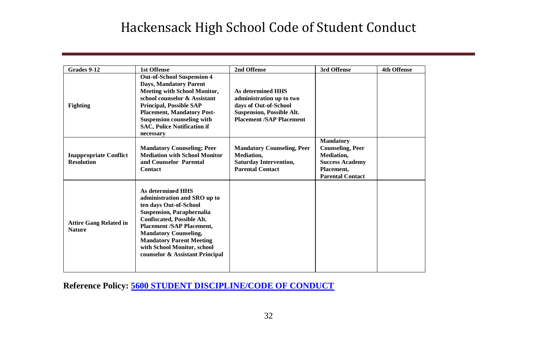| Grades 9-12                                        | <b>1st Offense</b>                                                                                                                                                                                                                                                                                                                   | 2nd Offense                                                                                                                                   | 3rd Offense                                                                                                                         | <b>4th Offense</b> |
|----------------------------------------------------|--------------------------------------------------------------------------------------------------------------------------------------------------------------------------------------------------------------------------------------------------------------------------------------------------------------------------------------|-----------------------------------------------------------------------------------------------------------------------------------------------|-------------------------------------------------------------------------------------------------------------------------------------|--------------------|
| <b>Fighting</b>                                    | <b>Out-of-School Suspension 4</b><br><b>Days, Mandatory Parent</b><br><b>Meeting with School Monitor,</b><br>school counselor & Assistant<br><b>Principal. Possible SAP</b><br><b>Placement, Mandatory Post-</b><br><b>Suspension counseling with</b><br><b>SAC, Police Notification if</b><br>necessary                             | As determined HHS<br>administration up to two<br>days of Out-of-School<br><b>Suspension, Possible Alt.</b><br><b>Placement /SAP Placement</b> |                                                                                                                                     |                    |
| <b>Inappropriate Conflict</b><br><b>Resolution</b> | <b>Mandatory Counseling; Peer</b><br><b>Mediation with School Monitor</b><br>and Counselor Parental<br>Contact                                                                                                                                                                                                                       | <b>Mandatory Counseling, Peer</b><br><b>Mediation.</b><br><b>Saturday Intervention,</b><br><b>Parental Contact</b>                            | <b>Mandatory</b><br><b>Counseling, Peer</b><br><b>Mediation.</b><br><b>Success Academy</b><br>Placement.<br><b>Parental Contact</b> |                    |
| <b>Attire Gang Related in</b><br><b>Nature</b>     | <b>As determined HHS</b><br>administration and SRO up to<br>ten days Out-of-School<br><b>Suspension, Paraphernalia</b><br><b>Confiscated, Possible Alt.</b><br><b>Placement /SAP Placement,</b><br><b>Mandatory Counseling,</b><br><b>Mandatory Parent Meeting</b><br>with School Monitor, school<br>counselor & Assistant Principal |                                                                                                                                               |                                                                                                                                     |                    |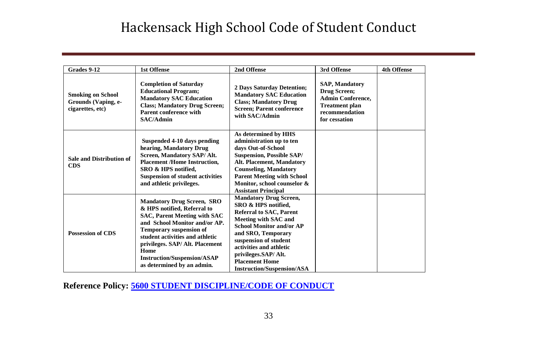| Grades 9-12                                                         | <b>1st Offense</b>                                                                                                                                                                                                                                                                                                           | 2nd Offense                                                                                                                                                                                                                                                                                                      | 3rd Offense                                                                                                                   | <b>4th Offense</b> |
|---------------------------------------------------------------------|------------------------------------------------------------------------------------------------------------------------------------------------------------------------------------------------------------------------------------------------------------------------------------------------------------------------------|------------------------------------------------------------------------------------------------------------------------------------------------------------------------------------------------------------------------------------------------------------------------------------------------------------------|-------------------------------------------------------------------------------------------------------------------------------|--------------------|
| <b>Smoking on School</b><br>Grounds (Vaping, e-<br>cigarettes, etc) | <b>Completion of Saturday</b><br><b>Educational Program;</b><br><b>Mandatory SAC Education</b><br><b>Class; Mandatory Drug Screen;</b><br><b>Parent conference with</b><br>SAC/Admin                                                                                                                                         | <b>2 Days Saturday Detention;</b><br><b>Mandatory SAC Education</b><br><b>Class: Mandatory Drug</b><br><b>Screen</b> ; Parent conference<br>with SAC/Admin                                                                                                                                                       | <b>SAP, Mandatory</b><br>Drug Screen;<br><b>Admin Conference.</b><br><b>Treatment plan</b><br>recommendation<br>for cessation |                    |
| <b>Sale and Distribution of</b><br><b>CDS</b>                       | Suspended 4-10 days pending<br>hearing, Mandatory Drug<br>Screen, Mandatory SAP/ Alt.<br><b>Placement /Home Instruction.</b><br>SRO & HPS notified,<br><b>Suspension of student activities</b><br>and athletic privileges.                                                                                                   | As determined by HHS<br>administration up to ten<br>days Out-of-School<br><b>Suspension, Possible SAP/</b><br>Alt. Placement, Mandatory<br><b>Counseling, Mandatory</b><br><b>Parent Meeting with School</b><br>Monitor, school counselor &<br><b>Assistant Principal</b>                                        |                                                                                                                               |                    |
| <b>Possession of CDS</b>                                            | <b>Mandatory Drug Screen, SRO</b><br>& HPS notified, Referral to<br><b>SAC, Parent Meeting with SAC</b><br>and School Monitor and/or AP.<br><b>Temporary suspension of</b><br>student activities and athletic<br>privileges. SAP/ Alt. Placement<br>Home<br><b>Instruction/Suspension/ASAP</b><br>as determined by an admin. | <b>Mandatory Drug Screen,</b><br>SRO & HPS notified,<br><b>Referral to SAC, Parent</b><br>Meeting with SAC and<br><b>School Monitor and/or AP</b><br>and SRO, Temporary<br>suspension of student<br>activities and athletic<br>privileges.SAP/Alt.<br><b>Placement Home</b><br><b>Instruction/Suspension/ASA</b> |                                                                                                                               |                    |